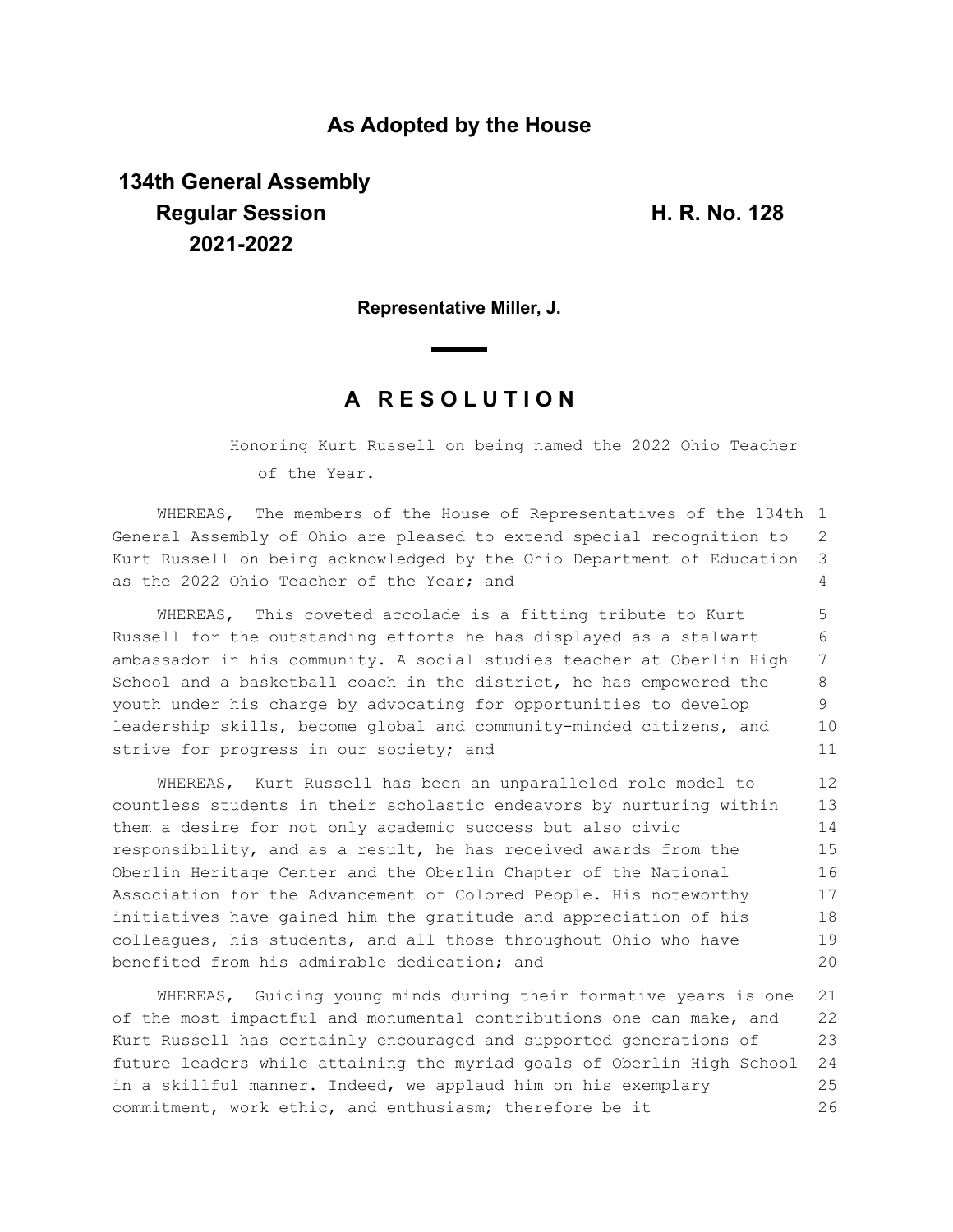### **As Adopted by the House**

# **134th General Assembly Regular Session H. R. No. 128 2021-2022**

**Representative Miller, J.**

## **A R E S O L U T I O N**

Honoring Kurt Russell on being named the 2022 Ohio Teacher of the Year.

WHEREAS, The members of the House of Representatives of the 134th 1 General Assembly of Ohio are pleased to extend special recognition to Kurt Russell on being acknowledged by the Ohio Department of Education as the 2022 Ohio Teacher of the Year; and 2 3  $\Delta$ 

WHEREAS, This coveted accolade is a fitting tribute to Kurt Russell for the outstanding efforts he has displayed as a stalwart ambassador in his community. A social studies teacher at Oberlin High School and a basketball coach in the district, he has empowered the youth under his charge by advocating for opportunities to develop leadership skills, become global and community-minded citizens, and strive for progress in our society; and 5 6 7 8 9 10 11

WHEREAS, Kurt Russell has been an unparalleled role model to countless students in their scholastic endeavors by nurturing within them a desire for not only academic success but also civic responsibility, and as a result, he has received awards from the Oberlin Heritage Center and the Oberlin Chapter of the National Association for the Advancement of Colored People. His noteworthy initiatives have gained him the gratitude and appreciation of his colleagues, his students, and all those throughout Ohio who have benefited from his admirable dedication; and 12 13 14 15 16 17 18 19 20

WHEREAS, Guiding young minds during their formative years is one of the most impactful and monumental contributions one can make, and Kurt Russell has certainly encouraged and supported generations of future leaders while attaining the myriad goals of Oberlin High School in a skillful manner. Indeed, we applaud him on his exemplary commitment, work ethic, and enthusiasm; therefore be it 21 22 23 24 25 26